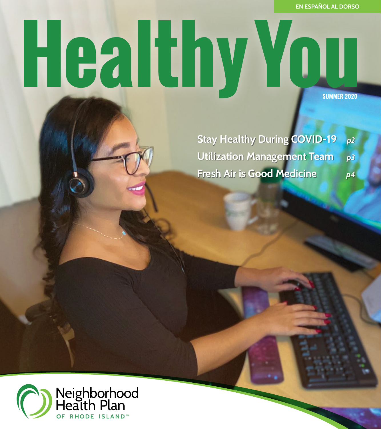**EN ESPAÑOL AL DORSO**

# Healthy You **SUMMER 2020**

**Stay Healthy During COVID-19** *p2*  **Utilization Management Team** *p3*  **Fresh Air is Good Medicine** *p4* 

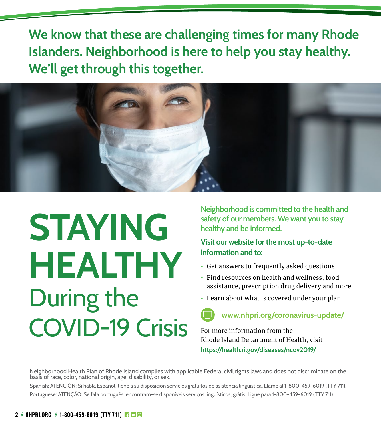**We know that these are challenging times for many Rhode Islanders. Neighborhood is here to help you stay healthy. We'll get through this together.** 



# **STAYING HEALTHY**  During the COVID-19 Crisis

**Neighborhood is committed to the health and safety of our members. We want you to stay healthy and be informed.** 

#### **Visit our website for the most up-to-date information and to:**

- **•** Get answers to frequently asked questions
- **•** Find resources on health and wellness, food assistance, prescription drug delivery and more
- **•** Learn about what is covered under your plan

#### **www.nhpri.org/coronavirus-update/**

For more information from the Rhode Island Department of Health, visit **https://health.ri.gov/diseases/ncov2019/**

Neighborhood Health Plan of Rhode Island complies with applicable Federal civil rights laws and does not discriminate on the basis of race, color, national origin, age, disability, or sex.

Spanish: ATENCIÓN: Si habla Español, tiene a su disposición servicios gratuitos de asistencia lingüística. Llame al 1-800-459-6019 (TTY 711). Portuguese: ATENÇÃO: Se fala português, encontram-se disponíveis serviços linguísticos, grátis. Ligue para 1-800-459-6019 (TTY 711).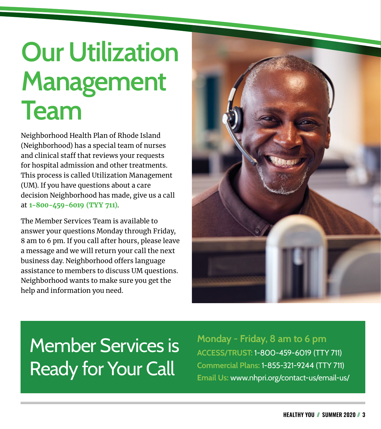### **Our Utilization Management Team**

Neighborhood Health Plan of Rhode Island (Neighborhood) has a special team of nurses and clinical staff that reviews your requests for hospital admission and other treatments. This process is called Utilization Management (UM). If you have questions about a care decision Neighborhood has made, give us a call at **1-800-459-6019 (TYY 711)**.

The Member Services Team is available to answer your questions Monday through Friday, 8 am to 6 pm. If you call after hours, please leave a message and we will return your call the next business day. Neighborhood offers language assistance to members to discuss UM questions. Neighborhood wants to make sure you get the help and information you need.



#### Member Services is Ready for Your Call

**Monday - Friday, 8 am to 6 pm ACCESS/TRUST:** 1-800-459-6019 (TTY 711) **Commercial Plans:** 1-855-321-9244 (TTY 711) **Email Us:** [www.nhpri.org/contact-us/email-us/](http://www.nhpri.org/contact-us/email-us/)